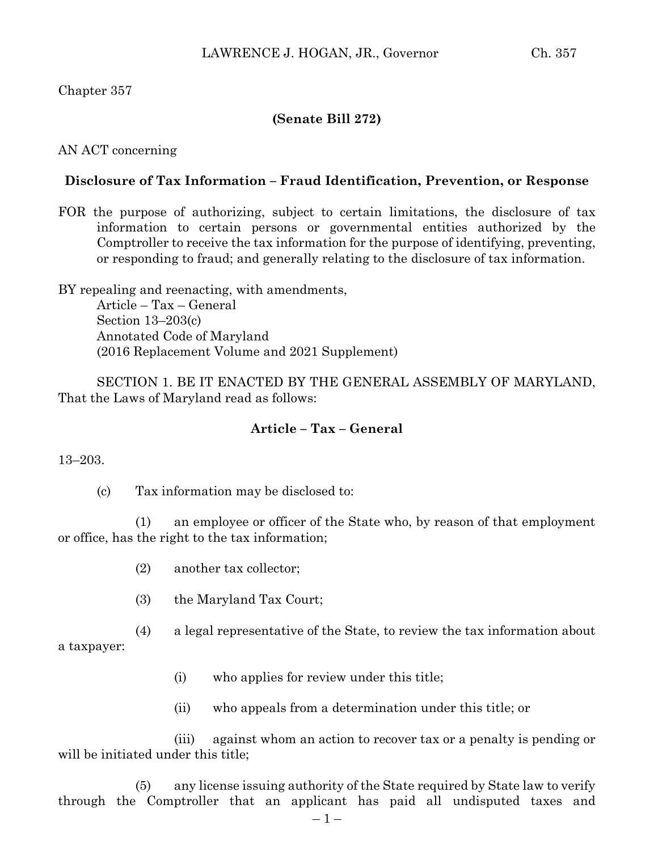# Chapter 357

## **(Senate Bill 272)**

#### AN ACT concerning

### **Disclosure of Tax Information – Fraud Identification, Prevention, or Response**

FOR the purpose of authorizing, subject to certain limitations, the disclosure of tax information to certain persons or governmental entities authorized by the Comptroller to receive the tax information for the purpose of identifying, preventing, or responding to fraud; and generally relating to the disclosure of tax information.

BY repealing and reenacting, with amendments, Article – Tax – General Section 13–203(c) Annotated Code of Maryland (2016 Replacement Volume and 2021 Supplement)

SECTION 1. BE IT ENACTED BY THE GENERAL ASSEMBLY OF MARYLAND, That the Laws of Maryland read as follows:

### **Article – Tax – General**

#### 13–203.

(c) Tax information may be disclosed to:

(1) an employee or officer of the State who, by reason of that employment or office, has the right to the tax information;

- (2) another tax collector;
- (3) the Maryland Tax Court;

(4) a legal representative of the State, to review the tax information about

a taxpayer:

- (i) who applies for review under this title;
- (ii) who appeals from a determination under this title; or

(iii) against whom an action to recover tax or a penalty is pending or will be initiated under this title;

(5) any license issuing authority of the State required by State law to verify through the Comptroller that an applicant has paid all undisputed taxes and